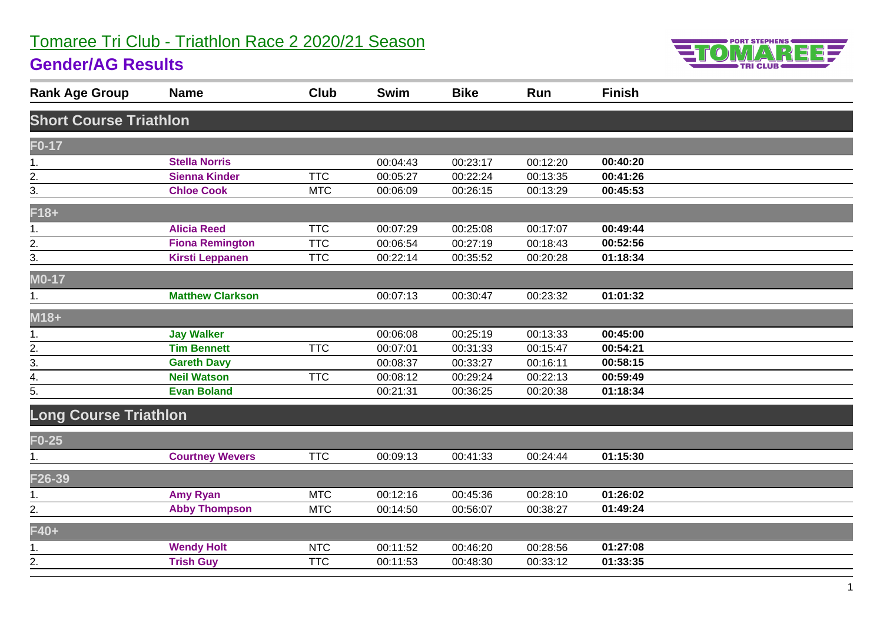# Tomaree Tri Club - Triathlon Race 2 2020/21 Season

#### **Gender/AG Results**



| <b>Rank Age Group</b>         | <b>Name</b>             | Club       | Swim     | <b>Bike</b> | Run      | <b>Finish</b> |  |
|-------------------------------|-------------------------|------------|----------|-------------|----------|---------------|--|
| <b>Short Course Triathlon</b> |                         |            |          |             |          |               |  |
| $F0-17$                       |                         |            |          |             |          |               |  |
| 1.                            | <b>Stella Norris</b>    |            | 00:04:43 | 00:23:17    | 00:12:20 | 00:40:20      |  |
| 2.                            | <b>Sienna Kinder</b>    | <b>TTC</b> | 00:05:27 | 00:22:24    | 00:13:35 | 00:41:26      |  |
| 3.                            | <b>Chloe Cook</b>       | <b>MTC</b> | 00:06:09 | 00:26:15    | 00:13:29 | 00:45:53      |  |
| $F18+$                        |                         |            |          |             |          |               |  |
| 1.                            | <b>Alicia Reed</b>      | <b>TTC</b> | 00:07:29 | 00:25:08    | 00:17:07 | 00:49:44      |  |
| $\frac{2}{3}$                 | <b>Fiona Remington</b>  | <b>TTC</b> | 00:06:54 | 00:27:19    | 00:18:43 | 00:52:56      |  |
|                               | <b>Kirsti Leppanen</b>  | <b>TTC</b> | 00:22:14 | 00:35:52    | 00:20:28 | 01:18:34      |  |
| $MO-17$                       |                         |            |          |             |          |               |  |
| 1.                            | <b>Matthew Clarkson</b> |            | 00:07:13 | 00:30:47    | 00:23:32 | 01:01:32      |  |
| $M18+$                        |                         |            |          |             |          |               |  |
| 1.                            | <b>Jay Walker</b>       |            | 00:06:08 | 00:25:19    | 00:13:33 | 00:45:00      |  |
|                               | <b>Tim Bennett</b>      | <b>TTC</b> | 00:07:01 | 00:31:33    | 00:15:47 | 00:54:21      |  |
| $\frac{2}{3}$ .               | <b>Gareth Davy</b>      |            | 00:08:37 | 00:33:27    | 00:16:11 | 00:58:15      |  |
| 4.                            | <b>Neil Watson</b>      | <b>TTC</b> | 00:08:12 | 00:29:24    | 00:22:13 | 00:59:49      |  |
| 5.                            | <b>Evan Boland</b>      |            | 00:21:31 | 00:36:25    | 00:20:38 | 01:18:34      |  |
| <b>Long Course Triathlon</b>  |                         |            |          |             |          |               |  |
| $F0-25$                       |                         |            |          |             |          |               |  |
| 1.                            | <b>Courtney Wevers</b>  | <b>TTC</b> | 00:09:13 | 00:41:33    | 00:24:44 | 01:15:30      |  |
| F26-39                        |                         |            |          |             |          |               |  |
| 1.                            | <b>Amy Ryan</b>         | <b>MTC</b> | 00:12:16 | 00:45:36    | 00:28:10 | 01:26:02      |  |
| 2.                            | <b>Abby Thompson</b>    | <b>MTC</b> | 00:14:50 | 00:56:07    | 00:38:27 | 01:49:24      |  |
| F40+                          |                         |            |          |             |          |               |  |
| 1.                            | <b>Wendy Holt</b>       | <b>NTC</b> | 00:11:52 | 00:46:20    | 00:28:56 | 01:27:08      |  |
| $\overline{2}$ .              | <b>Trish Guy</b>        | <b>TTC</b> | 00:11:53 | 00:48:30    | 00:33:12 | 01:33:35      |  |
|                               |                         |            |          |             |          |               |  |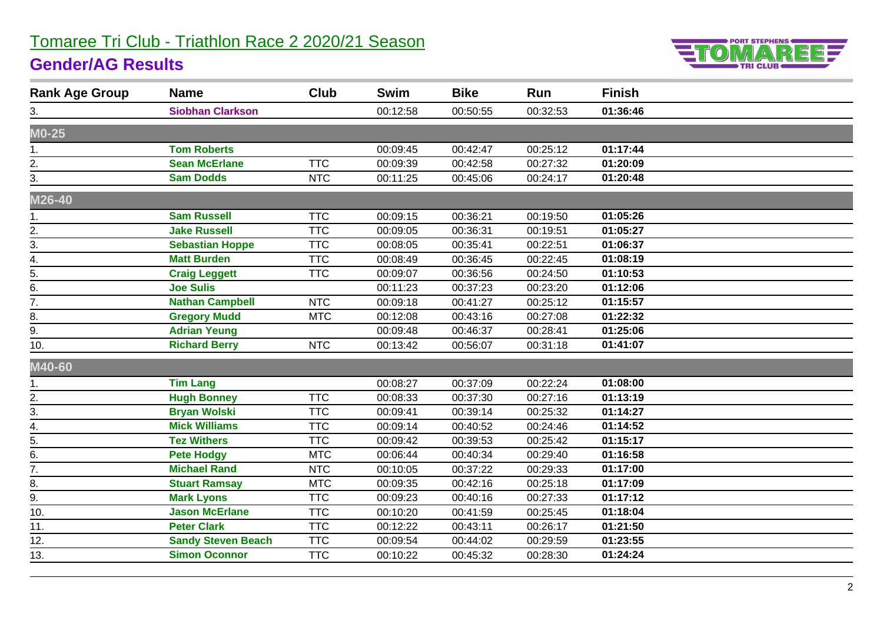# Tomaree Tri Club - Triathlon Race 2 2020/21 Season



# **Gender/AG Results**

| <b>Rank Age Group</b> | <b>Name</b>               | Club       | <b>Swim</b> | <b>Bike</b> | Run      | <b>Finish</b> |  |
|-----------------------|---------------------------|------------|-------------|-------------|----------|---------------|--|
| 3.                    | <b>Siobhan Clarkson</b>   |            | 00:12:58    | 00:50:55    | 00:32:53 | 01:36:46      |  |
| $MO-25$               |                           |            |             |             |          |               |  |
| 1.                    | <b>Tom Roberts</b>        |            | 00:09:45    | 00:42:47    | 00:25:12 | 01:17:44      |  |
| 2.                    | <b>Sean McErlane</b>      | <b>TTC</b> | 00:09:39    | 00:42:58    | 00:27:32 | 01:20:09      |  |
| 3.                    | <b>Sam Dodds</b>          | <b>NTC</b> | 00:11:25    | 00:45:06    | 00:24:17 | 01:20:48      |  |
| M26-40                |                           |            |             |             |          |               |  |
| 1.                    | <b>Sam Russell</b>        | <b>TTC</b> | 00:09:15    | 00:36:21    | 00:19:50 | 01:05:26      |  |
| 2.                    | <b>Jake Russell</b>       | <b>TTC</b> | 00:09:05    | 00:36:31    | 00:19:51 | 01:05:27      |  |
| 3.                    | <b>Sebastian Hoppe</b>    | <b>TTC</b> | 00:08:05    | 00:35:41    | 00:22:51 | 01:06:37      |  |
| 4.                    | <b>Matt Burden</b>        | <b>TTC</b> | 00:08:49    | 00:36:45    | 00:22:45 | 01:08:19      |  |
| 5.                    | <b>Craig Leggett</b>      | <b>TTC</b> | 00:09:07    | 00:36:56    | 00:24:50 | 01:10:53      |  |
| 6.                    | <b>Joe Sulis</b>          |            | 00:11:23    | 00:37:23    | 00:23:20 | 01:12:06      |  |
| 7.                    | <b>Nathan Campbell</b>    | <b>NTC</b> | 00:09:18    | 00:41:27    | 00:25:12 | 01:15:57      |  |
| 8.                    | <b>Gregory Mudd</b>       | <b>MTC</b> | 00:12:08    | 00:43:16    | 00:27:08 | 01:22:32      |  |
| 9.                    | <b>Adrian Yeung</b>       |            | 00:09:48    | 00:46:37    | 00:28:41 | 01:25:06      |  |
| 10.                   | <b>Richard Berry</b>      | <b>NTC</b> | 00:13:42    | 00:56:07    | 00:31:18 | 01:41:07      |  |
| M40-60                |                           |            |             |             |          |               |  |
| 1.                    | <b>Tim Lang</b>           |            | 00:08:27    | 00:37:09    | 00:22:24 | 01:08:00      |  |
| 2.                    | <b>Hugh Bonney</b>        | <b>TTC</b> | 00:08:33    | 00:37:30    | 00:27:16 | 01:13:19      |  |
| 3.                    | <b>Bryan Wolski</b>       | <b>TTC</b> | 00:09:41    | 00:39:14    | 00:25:32 | 01:14:27      |  |
| 4.                    | <b>Mick Williams</b>      | <b>TTC</b> | 00:09:14    | 00:40:52    | 00:24:46 | 01:14:52      |  |
| $\overline{5}$ .      | <b>Tez Withers</b>        | <b>TTC</b> | 00:09:42    | 00:39:53    | 00:25:42 | 01:15:17      |  |
| 6.                    | <b>Pete Hodgy</b>         | <b>MTC</b> | 00:06:44    | 00:40:34    | 00:29:40 | 01:16:58      |  |
| $\overline{7}$ .      | <b>Michael Rand</b>       | <b>NTC</b> | 00:10:05    | 00:37:22    | 00:29:33 | 01:17:00      |  |
| 8.                    | <b>Stuart Ramsay</b>      | <b>MTC</b> | 00:09:35    | 00:42:16    | 00:25:18 | 01:17:09      |  |
| 9.                    | <b>Mark Lyons</b>         | <b>TTC</b> | 00:09:23    | 00:40:16    | 00:27:33 | 01:17:12      |  |
| 10.                   | <b>Jason McErlane</b>     | <b>TTC</b> | 00:10:20    | 00:41:59    | 00:25:45 | 01:18:04      |  |
| 11.                   | <b>Peter Clark</b>        | <b>TTC</b> | 00:12:22    | 00:43:11    | 00:26:17 | 01:21:50      |  |
| 12.                   | <b>Sandy Steven Beach</b> | <b>TTC</b> | 00:09:54    | 00:44:02    | 00:29:59 | 01:23:55      |  |
| 13.                   | <b>Simon Oconnor</b>      | <b>TTC</b> | 00:10:22    | 00:45:32    | 00:28:30 | 01:24:24      |  |
|                       |                           |            |             |             |          |               |  |